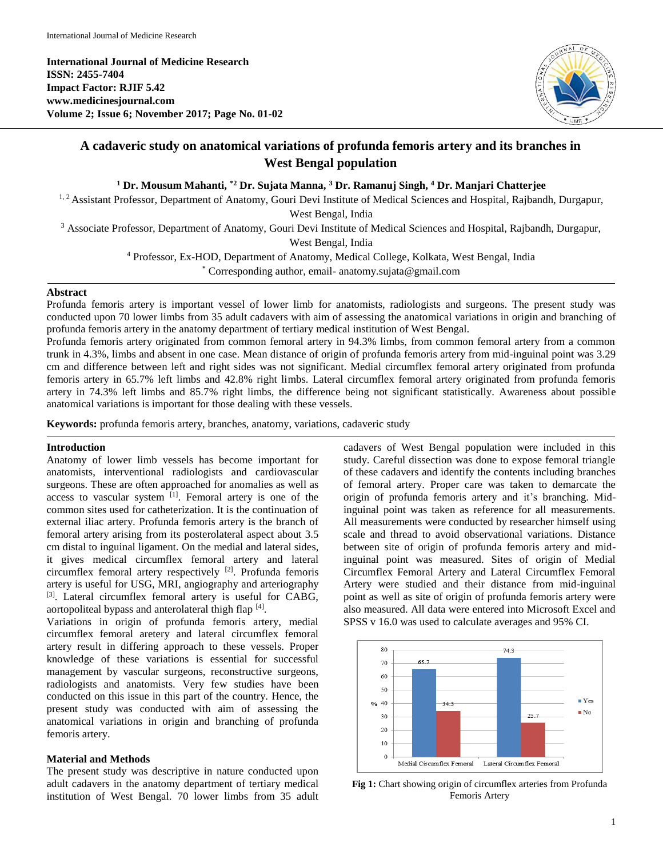**International Journal of Medicine Research ISSN: 2455-7404 Impact Factor: RJIF 5.42 www.medicinesjournal.com Volume 2; Issue 6; November 2017; Page No. 01-02**



# **A cadaveric study on anatomical variations of profunda femoris artery and its branches in West Bengal population**

**<sup>1</sup> Dr. Mousum Mahanti, \*2 Dr. Sujata Manna, <sup>3</sup> Dr. Ramanuj Singh, <sup>4</sup> Dr. Manjari Chatterjee**

<sup>1, 2</sup> Assistant Professor, Department of Anatomy, Gouri Devi Institute of Medical Sciences and Hospital, Rajbandh, Durgapur,

West Bengal, India

<sup>3</sup> Associate Professor, Department of Anatomy, Gouri Devi Institute of Medical Sciences and Hospital, Rajbandh, Durgapur,

West Bengal, India

<sup>4</sup> Professor, Ex-HOD, Department of Anatomy, Medical College, Kolkata, West Bengal, India

\* Corresponding author, email- anatomy.sujata@gmail.com

## **Abstract**

Profunda femoris artery is important vessel of lower limb for anatomists, radiologists and surgeons. The present study was conducted upon 70 lower limbs from 35 adult cadavers with aim of assessing the anatomical variations in origin and branching of profunda femoris artery in the anatomy department of tertiary medical institution of West Bengal.

Profunda femoris artery originated from common femoral artery in 94.3% limbs, from common femoral artery from a common trunk in 4.3%, limbs and absent in one case. Mean distance of origin of profunda femoris artery from mid-inguinal point was 3.29 cm and difference between left and right sides was not significant. Medial circumflex femoral artery originated from profunda femoris artery in 65.7% left limbs and 42.8% right limbs. Lateral circumflex femoral artery originated from profunda femoris artery in 74.3% left limbs and 85.7% right limbs, the difference being not significant statistically. Awareness about possible anatomical variations is important for those dealing with these vessels.

**Keywords:** profunda femoris artery, branches, anatomy, variations, cadaveric study

#### **Introduction**

Anatomy of lower limb vessels has become important for anatomists, interventional radiologists and cardiovascular surgeons. These are often approached for anomalies as well as access to vascular system  $\left[1\right]$ . Femoral artery is one of the common sites used for catheterization. It is the continuation of external iliac artery. Profunda femoris artery is the branch of femoral artery arising from its posterolateral aspect about 3.5 cm distal to inguinal ligament. On the medial and lateral sides, it gives medical circumflex femoral artery and lateral circumflex femoral artery respectively  $[2]$ . Profunda femoris artery is useful for USG, MRI, angiography and arteriography [3]. Lateral circumflex femoral artery is useful for CABG, aortopoliteal bypass and anterolateral thigh flap [4].

Variations in origin of profunda femoris artery, medial circumflex femoral aretery and lateral circumflex femoral artery result in differing approach to these vessels. Proper knowledge of these variations is essential for successful management by vascular surgeons, reconstructive surgeons, radiologists and anatomists. Very few studies have been conducted on this issue in this part of the country. Hence, the present study was conducted with aim of assessing the anatomical variations in origin and branching of profunda femoris artery.

## **Material and Methods**

The present study was descriptive in nature conducted upon adult cadavers in the anatomy department of tertiary medical institution of West Bengal. 70 lower limbs from 35 adult cadavers of West Bengal population were included in this study. Careful dissection was done to expose femoral triangle of these cadavers and identify the contents including branches of femoral artery. Proper care was taken to demarcate the origin of profunda femoris artery and it's branching. Midinguinal point was taken as reference for all measurements. All measurements were conducted by researcher himself using scale and thread to avoid observational variations. Distance between site of origin of profunda femoris artery and midinguinal point was measured. Sites of origin of Medial Circumflex Femoral Artery and Lateral Circumflex Femoral Artery were studied and their distance from mid-inguinal point as well as site of origin of profunda femoris artery were also measured. All data were entered into Microsoft Excel and SPSS v 16.0 was used to calculate averages and 95% CI.



**Fig 1:** Chart showing origin of circumflex arteries from Profunda Femoris Artery